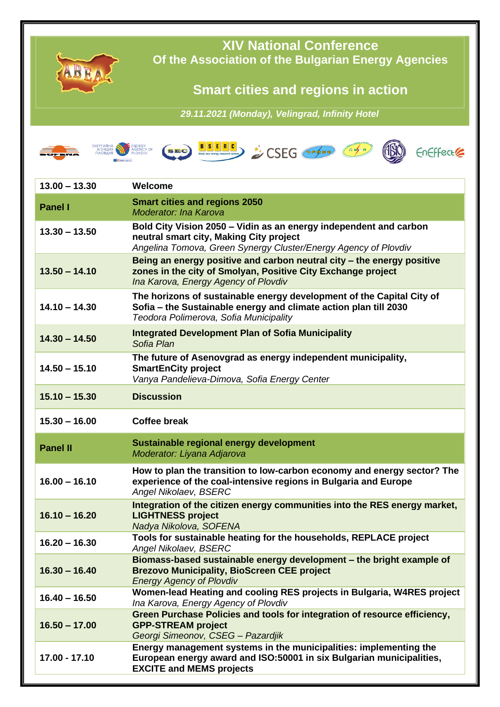

**XIV National Conference Of the Association of the Bulgarian Energy Agencies**

# **Smart cities and regions in action**

*29.11.2021 (Monday), Velingrad, Infinity Hotel*



| $13.00 - 13.30$ | Welcome                                                                                                                                                                                                          |
|-----------------|------------------------------------------------------------------------------------------------------------------------------------------------------------------------------------------------------------------|
| <b>Panel I</b>  | <b>Smart cities and regions 2050</b><br>Moderator: Ina Karova                                                                                                                                                    |
| $13.30 - 13.50$ | Bold City Vision 2050 - Vidin as an energy independent and carbon<br>neutral smart city, Making City project<br>Angelina Tomova, Green Synergy Cluster/Energy Agency of Plovdiv                                  |
| $13.50 - 14.10$ | Being an energy positive and carbon neutral city - the energy positive<br>zones in the city of Smolyan, Positive City Exchange project<br>Ina Karova, Energy Agency of Plovdiv                                   |
| $14.10 - 14.30$ | The horizons of sustainable energy development of the Capital City of<br>Sofia - the Sustainable energy and climate action plan till 2030<br>Teodora Polimerova, Sofia Municipality                              |
| $14.30 - 14.50$ | <b>Integrated Development Plan of Sofia Municipality</b><br>Sofia Plan                                                                                                                                           |
| $14.50 - 15.10$ | The future of Asenovgrad as energy independent municipality,<br><b>SmartEnCity project</b><br>Vanya Pandelieva-Dimova, Sofia Energy Center                                                                       |
| $15.10 - 15.30$ | <b>Discussion</b>                                                                                                                                                                                                |
| $15.30 - 16.00$ | <b>Coffee break</b>                                                                                                                                                                                              |
|                 |                                                                                                                                                                                                                  |
| <b>Panel II</b> | Sustainable regional energy development<br>Moderator: Liyana Adjarova                                                                                                                                            |
| $16.00 - 16.10$ | How to plan the transition to low-carbon economy and energy sector? The<br>experience of the coal-intensive regions in Bulgaria and Europe<br>Angel Nikolaev, BSERC                                              |
| $16.10 - 16.20$ | Integration of the citizen energy communities into the RES energy market,<br><b>LIGHTNESS project</b><br>Nadya Nikolova, SOFENA                                                                                  |
| $16.20 - 16.30$ | Tools for sustainable heating for the households, REPLACE project<br>Angel Nikolaev, BSERC                                                                                                                       |
| $16.30 - 16.40$ | Biomass-based sustainable energy development - the bright example of<br><b>Brezovo Municipality, BioScreen CEE project</b><br><b>Energy Agency of Plovdiv</b>                                                    |
| $16.40 - 16.50$ | Women-lead Heating and cooling RES projects in Bulgaria, W4RES project<br>Ina Karova, Energy Agency of Plovdiv                                                                                                   |
| $16.50 - 17.00$ | Green Purchase Policies and tools for integration of resource efficiency,<br><b>GPP-STREAM project</b><br>Georgi Simeonov, CSEG - Pazardjik<br>Energy management systems in the municipalities: implementing the |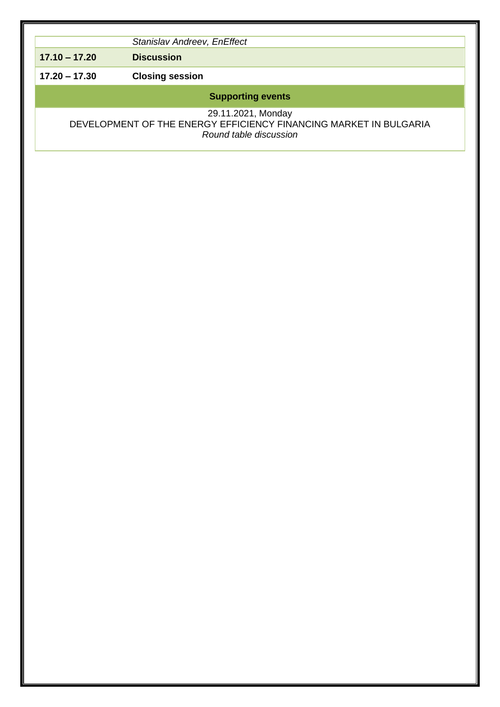|                 | Stanislav Andreev, EnEffect                                                                                       |
|-----------------|-------------------------------------------------------------------------------------------------------------------|
| $17.10 - 17.20$ | <b>Discussion</b>                                                                                                 |
| $17.20 - 17.30$ | <b>Closing session</b>                                                                                            |
|                 | <b>Supporting events</b>                                                                                          |
|                 | 29.11.2021, Monday<br>DEVELOPMENT OF THE ENERGY EFFICIENCY FINANCING MARKET IN BULGARIA<br>Round table discussion |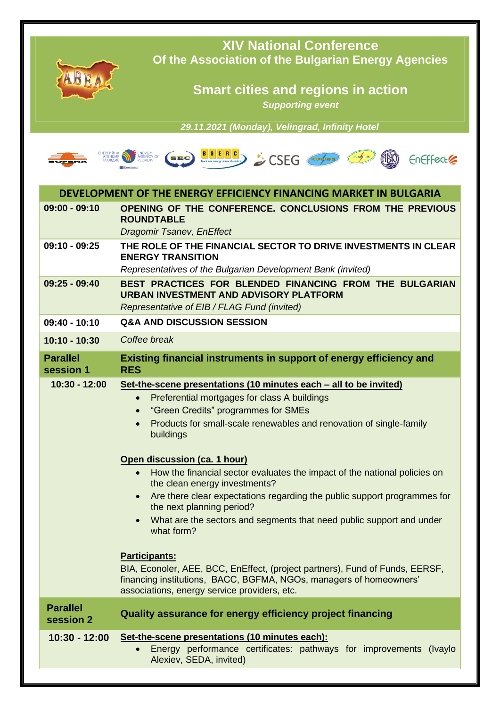|                              | <b>XIV National Conference</b>                                                                                                                                                                     |
|------------------------------|----------------------------------------------------------------------------------------------------------------------------------------------------------------------------------------------------|
|                              | Of the Association of the Bulgarian Energy Agencies                                                                                                                                                |
|                              |                                                                                                                                                                                                    |
|                              | <b>Smart cities and regions in action</b><br><b>Supporting event</b>                                                                                                                               |
|                              |                                                                                                                                                                                                    |
|                              | 29.11.2021 (Monday), Velingrad, Infinity Hotel                                                                                                                                                     |
|                              | ENERGY<br>AGENCY OF<br>CSEG <b>STANE</b><br>EnEffect                                                                                                                                               |
|                              |                                                                                                                                                                                                    |
|                              | DEVELOPMENT OF THE ENERGY EFFICIENCY FINANCING MARKET IN BULGARIA                                                                                                                                  |
| $09:00 - 09:10$              | OPENING OF THE CONFERENCE. CONCLUSIONS FROM THE PREVIOUS<br><b>ROUNDTABLE</b><br><b>Dragomir Tsanev, EnEffect</b>                                                                                  |
| $09:10 - 09:25$              | THE ROLE OF THE FINANCIAL SECTOR TO DRIVE INVESTMENTS IN CLEAR                                                                                                                                     |
|                              | <b>ENERGY TRANSITION</b>                                                                                                                                                                           |
|                              | Representatives of the Bulgarian Development Bank (invited)                                                                                                                                        |
| $09:25 - 09:40$              | BEST PRACTICES FOR BLENDED FINANCING FROM THE BULGARIAN<br>URBAN INVESTMENT AND ADVISORY PLATFORM                                                                                                  |
|                              | Representative of EIB / FLAG Fund (invited)                                                                                                                                                        |
| $09:40 - 10:10$              | <b>Q&amp;A AND DISCUSSION SESSION</b>                                                                                                                                                              |
| 10:10 - 10:30                | Coffee break                                                                                                                                                                                       |
| <b>Parallel</b><br>session 1 | Existing financial instruments in support of energy efficiency and<br><b>RES</b>                                                                                                                   |
| 10:30 - 12:00                | Set-the-scene presentations (10 minutes each – all to be invited)                                                                                                                                  |
|                              | Preferential mortgages for class A buildings                                                                                                                                                       |
|                              | "Green Credits" programmes for SMEs<br>$\bullet$<br>Products for small-scale renewables and renovation of single-family                                                                            |
|                              | buildings                                                                                                                                                                                          |
|                              | Open discussion (ca. 1 hour)                                                                                                                                                                       |
|                              | How the financial sector evaluates the impact of the national policies on<br>the clean energy investments?                                                                                         |
|                              | Are there clear expectations regarding the public support programmes for<br>$\bullet$                                                                                                              |
|                              | the next planning period?<br>What are the sectors and segments that need public support and under                                                                                                  |
|                              | what form?                                                                                                                                                                                         |
|                              | Participants:                                                                                                                                                                                      |
|                              | BIA, Econoler, AEE, BCC, EnEffect, (project partners), Fund of Funds, EERSF,<br>financing institutions, BACC, BGFMA, NGOs, managers of homeowners'<br>associations, energy service providers, etc. |
| <b>Parallel</b><br>session 2 | Quality assurance for energy efficiency project financing                                                                                                                                          |
| 10:30 - 12:00                | Set-the-scene presentations (10 minutes each):<br>Energy performance certificates: pathways for improvements (Ivaylo<br>Alexiev, SEDA, invited)                                                    |
|                              |                                                                                                                                                                                                    |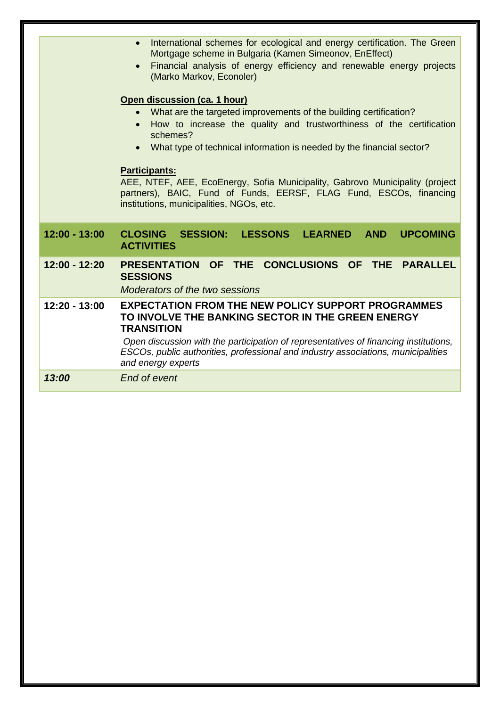|                 | International schemes for ecological and energy certification. The Green<br>$\bullet$<br>Mortgage scheme in Bulgaria (Kamen Simeonov, EnEffect)<br>Financial analysis of energy efficiency and renewable energy projects<br>$\bullet$<br>(Marko Markov, Econoler)<br>Open discussion (ca. 1 hour)<br>• What are the targeted improvements of the building certification?<br>How to increase the quality and trustworthiness of the certification<br>schemes?<br>What type of technical information is needed by the financial sector?<br><b>Participants:</b><br>AEE, NTEF, AEE, EcoEnergy, Sofia Municipality, Gabrovo Municipality (project<br>partners), BAIC, Fund of Funds, EERSF, FLAG Fund, ESCOs, financing<br>institutions, municipalities, NGOs, etc. |
|-----------------|-----------------------------------------------------------------------------------------------------------------------------------------------------------------------------------------------------------------------------------------------------------------------------------------------------------------------------------------------------------------------------------------------------------------------------------------------------------------------------------------------------------------------------------------------------------------------------------------------------------------------------------------------------------------------------------------------------------------------------------------------------------------|
| $12:00 - 13:00$ | <b>CLOSING SESSION:</b><br><b>LESSONS LEARNED AND</b><br><b>UPCOMING</b><br><b>ACTIVITIES</b>                                                                                                                                                                                                                                                                                                                                                                                                                                                                                                                                                                                                                                                                   |
| 12:00 - 12:20   | PRESENTATION OF THE CONCLUSIONS OF THE<br><b>PARALLEL</b><br><b>SESSIONS</b><br>Moderators of the two sessions                                                                                                                                                                                                                                                                                                                                                                                                                                                                                                                                                                                                                                                  |
| $12:20 - 13:00$ | <b>EXPECTATION FROM THE NEW POLICY SUPPORT PROGRAMMES</b><br>TO INVOLVE THE BANKING SECTOR IN THE GREEN ENERGY<br><b>TRANSITION</b><br>Open discussion with the participation of representatives of financing institutions,<br>ESCOs, public authorities, professional and industry associations, municipalities<br>and energy experts                                                                                                                                                                                                                                                                                                                                                                                                                          |
| 13:00           | End of event                                                                                                                                                                                                                                                                                                                                                                                                                                                                                                                                                                                                                                                                                                                                                    |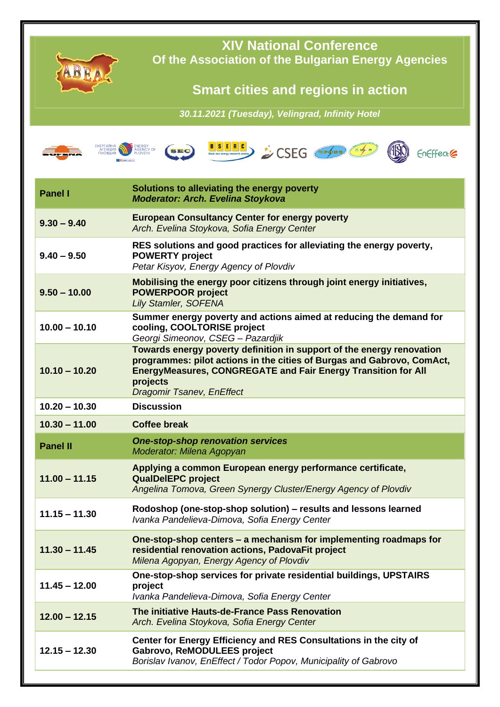

**XIV National Conference**

**Of the Association of the Bulgarian Energy Agencies**

## **Smart cities and regions in action**

*30.11.2021 (Tuesday), Velingrad, Infinity Hotel*



| <b>Panel I</b>  | Solutions to alleviating the energy poverty<br><b>Moderator: Arch. Evelina Stoykova</b>                                                                                                                                                                                 |
|-----------------|-------------------------------------------------------------------------------------------------------------------------------------------------------------------------------------------------------------------------------------------------------------------------|
| $9.30 - 9.40$   | <b>European Consultancy Center for energy poverty</b><br>Arch. Evelina Stoykova, Sofia Energy Center                                                                                                                                                                    |
| $9.40 - 9.50$   | RES solutions and good practices for alleviating the energy poverty,<br><b>POWERTY project</b><br>Petar Kisyov, Energy Agency of Plovdiv                                                                                                                                |
| $9.50 - 10.00$  | Mobilising the energy poor citizens through joint energy initiatives,<br><b>POWERPOOR project</b><br><b>Lily Stamler, SOFENA</b>                                                                                                                                        |
| $10.00 - 10.10$ | Summer energy poverty and actions aimed at reducing the demand for<br>cooling, COOLTORISE project<br>Georgi Simeonov, CSEG - Pazardjik                                                                                                                                  |
| $10.10 - 10.20$ | Towards energy poverty definition in support of the energy renovation<br>programmes: pilot actions in the cities of Burgas and Gabrovo, ComAct,<br><b>EnergyMeasures, CONGREGATE and Fair Energy Transition for All</b><br>projects<br><b>Dragomir Tsanev, EnEffect</b> |
| $10.20 - 10.30$ | <b>Discussion</b>                                                                                                                                                                                                                                                       |
| $10.30 - 11.00$ | <b>Coffee break</b>                                                                                                                                                                                                                                                     |
|                 |                                                                                                                                                                                                                                                                         |
| <b>Panel II</b> | <b>One-stop-shop renovation services</b><br>Moderator: Milena Agopyan                                                                                                                                                                                                   |
| $11.00 - 11.15$ | Applying a common European energy performance certificate,<br><b>QualDelEPC project</b><br>Angelina Tomova, Green Synergy Cluster/Energy Agency of Plovdiv                                                                                                              |
| $11.15 - 11.30$ | Rodoshop (one-stop-shop solution) - results and lessons learned<br>Ivanka Pandelieva-Dimova, Sofia Energy Center                                                                                                                                                        |
| $11.30 - 11.45$ | One-stop-shop centers – a mechanism for implementing roadmaps for<br>residential renovation actions, PadovaFit project<br>Milena Agopyan, Energy Agency of Plovdiv                                                                                                      |
| $11.45 - 12.00$ | One-stop-shop services for private residential buildings, UPSTAIRS<br>project<br>Ivanka Pandelieva-Dimova, Sofia Energy Center                                                                                                                                          |
| $12.00 - 12.15$ | The initiative Hauts-de-France Pass Renovation<br>Arch. Evelina Stoykova, Sofia Energy Center                                                                                                                                                                           |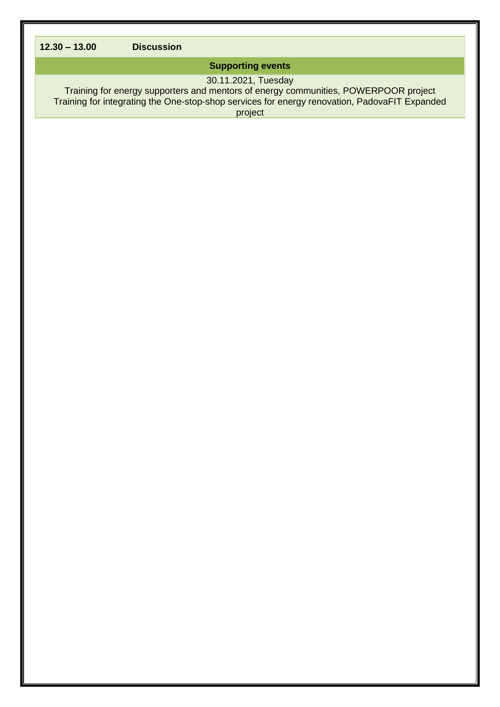### **Supporting events**

#### 30.11.2021, Tuesday

Training for energy supporters and mentors of energy communities, POWERPOOR project Training for integrating the One-stop-shop services for energy renovation, PadovaFIT Expanded project